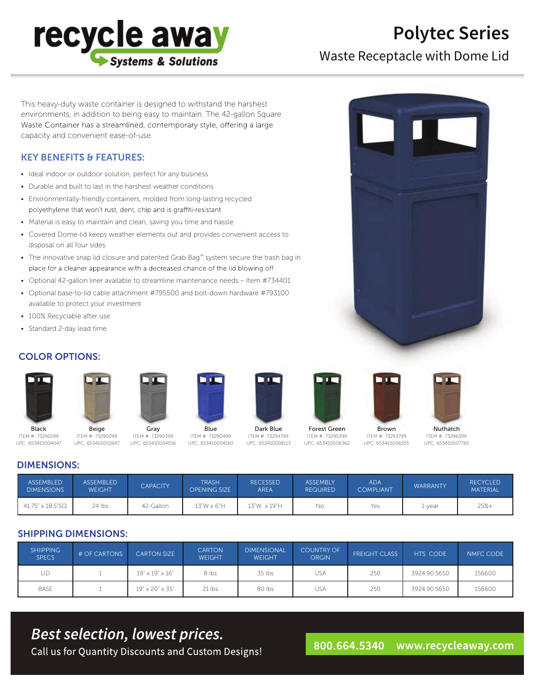

# **Polytec Series**

Waste Receptacle with Dome Lid

This heavy-duty waste container is designed to withstand the harshest environments, in addition to being easy to maintain. The 42-gallon Square Waste Container has a streamlined, contemporary style, offering a large capacity and convenient ease-of-use.

### KEY BENEFITS & FEATURES:

- Ideal indoor or outdoor solution, perfect for any business
- Durable and built to last in the harshest weather conditions
- Environmentally-friendly containers, molded from long-lasting recycled polyethylene that won't rust, dent, chip and is graffiti-resistant
- Material is easy to maintain and clean, saving you time and hassle
- Covered Dome-lid keeps weather elements out and provides convenient access to disposal on all four sides
- The innovative snap lid closure and patented Grab Bag™ system secure the trash bag in place for a cleaner appearance with a decreased chance of the lid blowing off
- Optional 42-gallon liner available to streamline maintenance needs Item #734401
- Optional base-to-lid cable attachment #795500 and bolt-down hardware #793100 available to protect your investment
- 100% Recyclable after use
- Standard 2-day lead time

### COLOR OPTIONS:



ITEM #: 73290199 UPC: 653410004047



Beige ITEM #: 73290299 UPC: 653410002647



Gray ITEM #: 73290399 UPC: 653410004016



ITEM #: 73290499 UPC: 653410004160





UPC: 653410006362

Forest Green ITEM #: 73295399



ITEM #: 73293799 UPC: 653410006355

Nuthatch ITEM #: 73296399 UPC: 653410007765

### DIMENSIONS:

| <b>ASSEMBLED</b><br><b>DIMENSIONS</b> | <b>ASSEMBLED</b><br><b>WEIGHT</b> | <b>CAPACITY</b> | <b>TRASH</b><br><b>OPENING SIZE</b> | <b>RECESSED</b><br><b>AREA</b> | <b>ASSEMBLY</b><br><b>REQUIRED</b> | <b>ADA</b><br><b>COMPLIANT</b> | <b>WARRANTY</b> | <b>RECYCLED</b><br><b>MATERIAL</b> |
|---------------------------------------|-----------------------------------|-----------------|-------------------------------------|--------------------------------|------------------------------------|--------------------------------|-----------------|------------------------------------|
| 41.75" x 18.5"SQ                      | $24$ lbs                          | 42-Gallon       | $13"W \times 6"H$                   | 13″W x 19″H                    | No                                 | Yes                            | 1-year          | $25% +$                            |

### SHIPPING DIMENSIONS:

| <b>SHIIPPING</b><br><b>SPECS</b> | # OF CARTONS | <b>CARTON SIZE</b>             | <b>CARTON</b><br><b>WEIGHT</b> | <b>DIMENSIONAL</b><br>WEIGHT | <b>COUNTRY OF</b><br><b>ORGIN</b> | <b>FREIGHT CLASS</b> | <b>HTS CODE</b> | NMFC CODE |
|----------------------------------|--------------|--------------------------------|--------------------------------|------------------------------|-----------------------------------|----------------------|-----------------|-----------|
| LID                              |              | $19'' \times 19'' \times 16''$ | 8 lbs                          | 35 lbs                       | usa                               | 250                  | 3924.90.5650    | 156600    |
| <b>BASE</b>                      |              | 19" x 20" x 35"                | $21$ lbs                       | 80 lbs                       | <b>USA</b>                        | 250                  | 3924.90.5650    | 156600    |

## **Best selection, lowest prices.**

Call us for Quantity Discounts and Custom Designs!

#### 800.664.5340 www.recycleaway.com